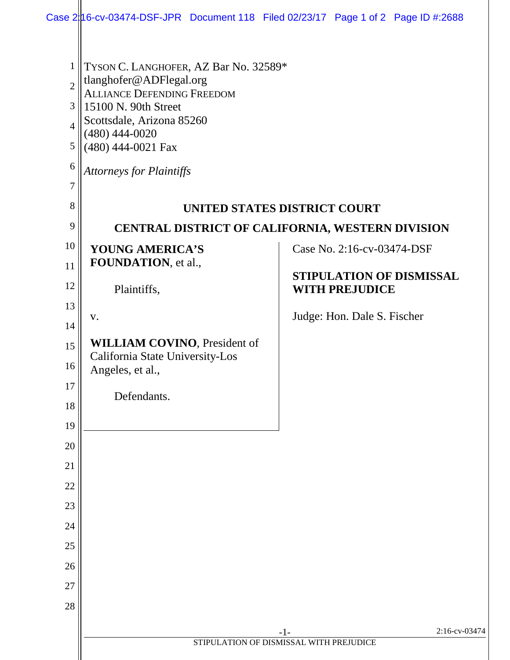|                                                                                   | Case $2 16$ -cv-03474-DSF-JPR Document 118 Filed 02/23/17 Page 1 of 2 Page ID #:2688                                                                                                                                                    |                                                          |               |  |  |
|-----------------------------------------------------------------------------------|-----------------------------------------------------------------------------------------------------------------------------------------------------------------------------------------------------------------------------------------|----------------------------------------------------------|---------------|--|--|
| $\mathbf{1}$<br>$\overline{2}$<br>3<br>$\overline{4}$<br>5<br>6<br>$\overline{7}$ | TYSON C. LANGHOFER, AZ Bar No. 32589*<br>tlanghofer@ADFlegal.org<br><b>ALLIANCE DEFENDING FREEDOM</b><br>15100 N. 90th Street<br>Scottsdale, Arizona 85260<br>$(480)$ 444-0020<br>(480) 444-0021 Fax<br><b>Attorneys for Plaintiffs</b> |                                                          |               |  |  |
| 8                                                                                 | UNITED STATES DISTRICT COURT                                                                                                                                                                                                            |                                                          |               |  |  |
| 9<br>10                                                                           | CENTRAL DISTRICT OF CALIFORNIA, WESTERN DIVISION                                                                                                                                                                                        |                                                          |               |  |  |
| 11                                                                                | YOUNG AMERICA'S<br>FOUNDATION, et al.,                                                                                                                                                                                                  | Case No. 2:16-cv-03474-DSF                               |               |  |  |
| 12                                                                                | Plaintiffs,                                                                                                                                                                                                                             | <b>STIPULATION OF DISMISSAL</b><br><b>WITH PREJUDICE</b> |               |  |  |
| 13<br>14                                                                          | V.                                                                                                                                                                                                                                      | Judge: Hon. Dale S. Fischer                              |               |  |  |
| 15<br>16                                                                          | <b>WILLIAM COVINO</b> , President of<br>California State University-Los<br>Angeles, et al.,                                                                                                                                             |                                                          |               |  |  |
| 17<br>18                                                                          | Defendants.                                                                                                                                                                                                                             |                                                          |               |  |  |
| 19                                                                                |                                                                                                                                                                                                                                         |                                                          |               |  |  |
| 20<br>21                                                                          |                                                                                                                                                                                                                                         |                                                          |               |  |  |
| 22                                                                                |                                                                                                                                                                                                                                         |                                                          |               |  |  |
| 23                                                                                |                                                                                                                                                                                                                                         |                                                          |               |  |  |
| 24                                                                                |                                                                                                                                                                                                                                         |                                                          |               |  |  |
| 25                                                                                |                                                                                                                                                                                                                                         |                                                          |               |  |  |
| 26                                                                                |                                                                                                                                                                                                                                         |                                                          |               |  |  |
| 27                                                                                |                                                                                                                                                                                                                                         |                                                          |               |  |  |
| 28                                                                                |                                                                                                                                                                                                                                         |                                                          |               |  |  |
|                                                                                   |                                                                                                                                                                                                                                         | $-1-$                                                    | 2:16-cv-03474 |  |  |
|                                                                                   |                                                                                                                                                                                                                                         | STIPULATION OF DISMISSAL WITH PREJUDICE                  |               |  |  |